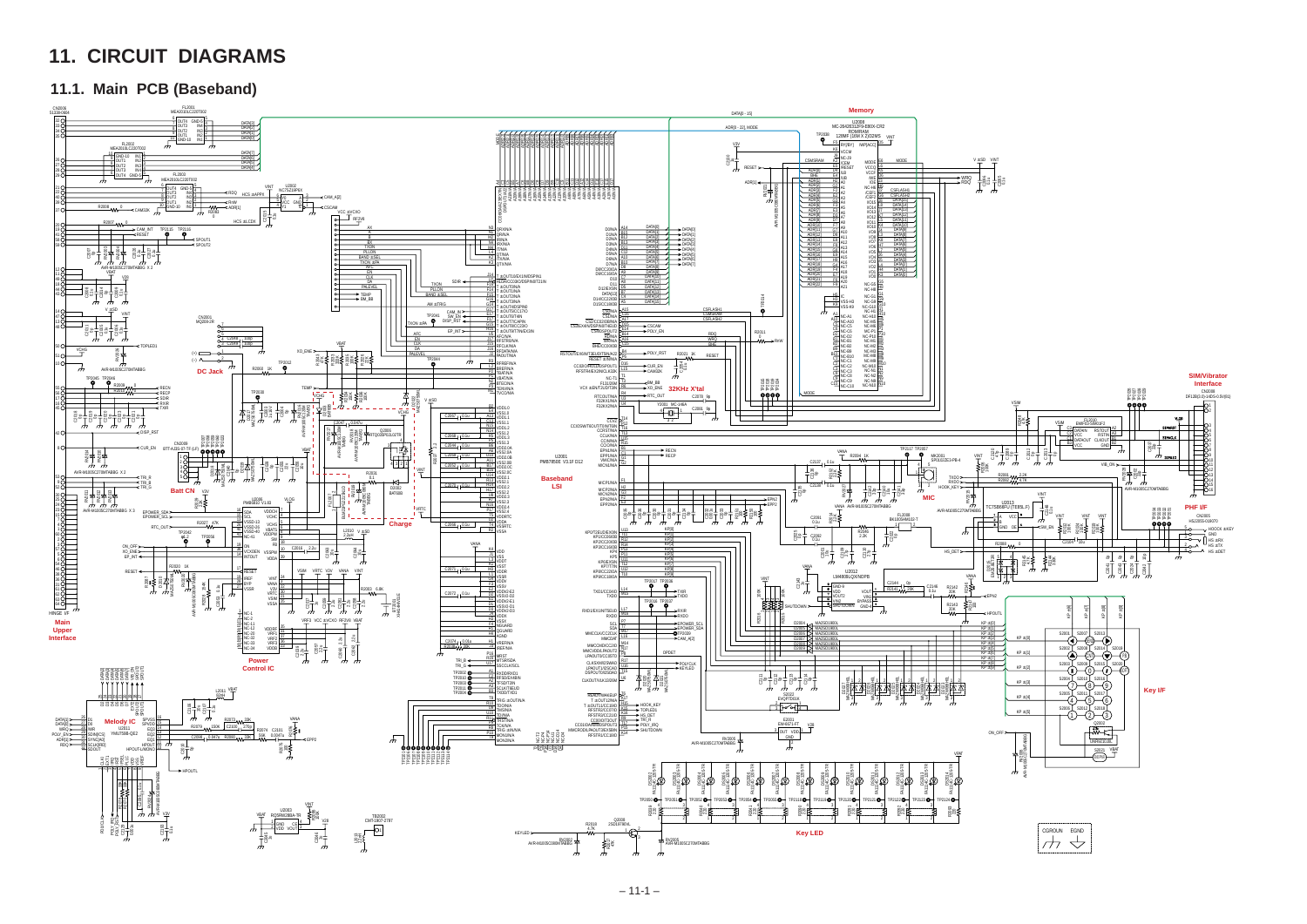## **11. CIRCUIT DIAGRAMS**

# **11.1. Main PCB (Baseband)**

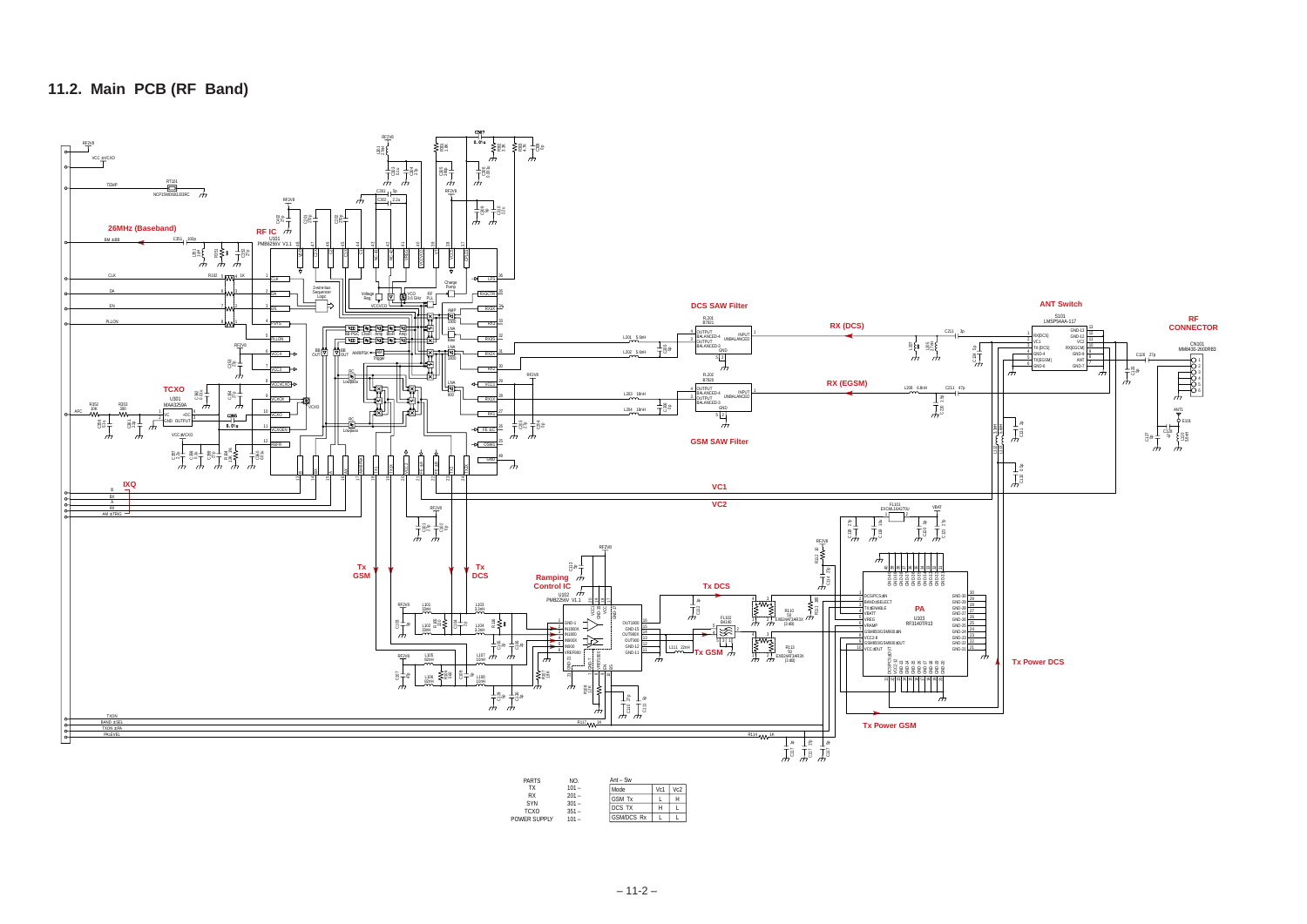## **11.2. Main PCB (RF Band)**

| <b>PARTS</b>            | NO.                           | $Ant-Sw$      |     |     |  |
|-------------------------|-------------------------------|---------------|-----|-----|--|
| ТX                      | $101 -$                       | Mode          | Vc1 | Vc2 |  |
| RX<br><b>SYN</b>        | $201 -$<br>$301 -$<br>$351 -$ | <b>GSM Tx</b> |     | н   |  |
| <b>TCXO</b>             |                               | IDCS TX       | н   |     |  |
| POWER SUPPLY<br>$101 -$ | <b>GSM/DCS Rx</b>             |               |     |     |  |

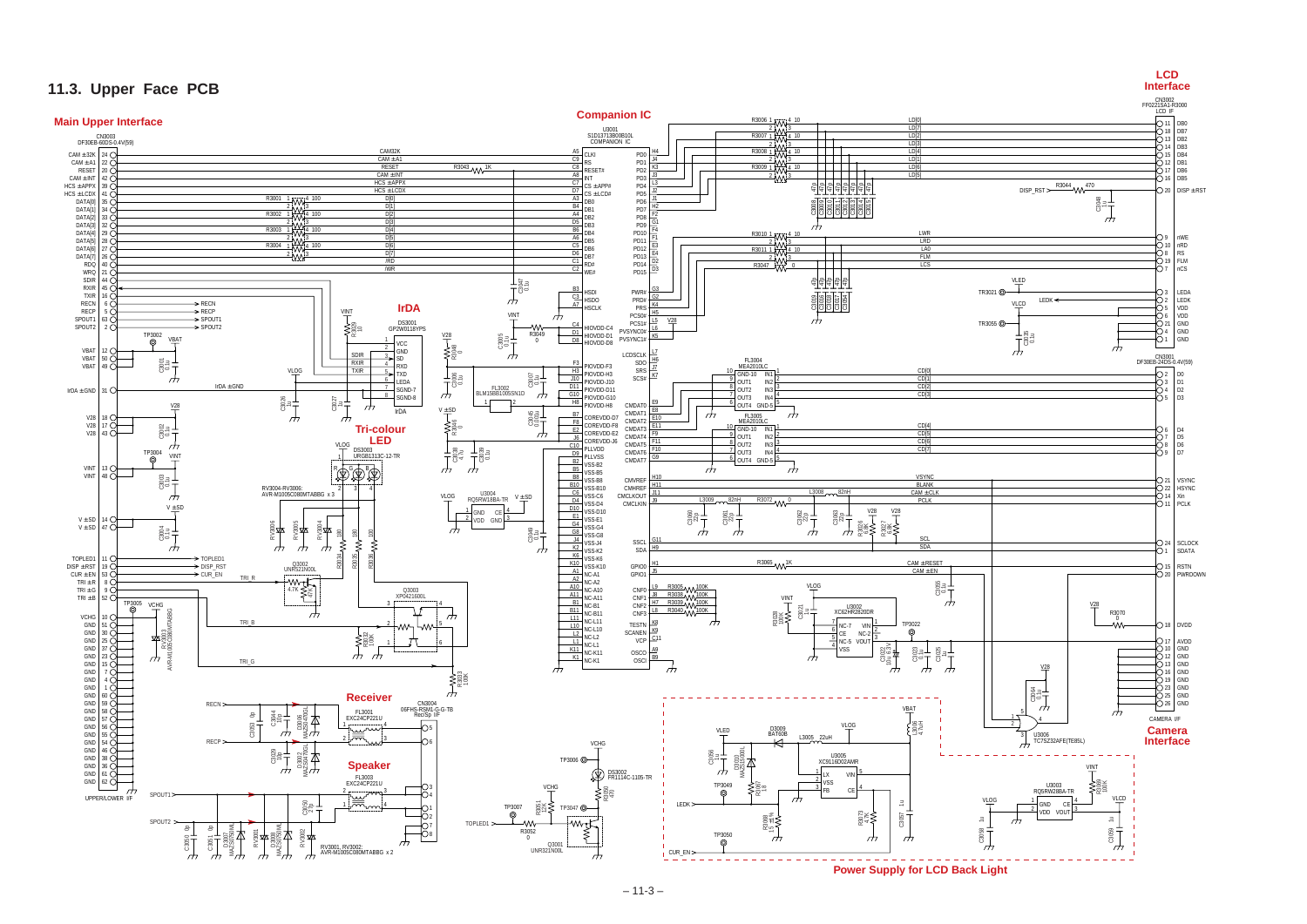#### **11.3. Upper Face PCB**

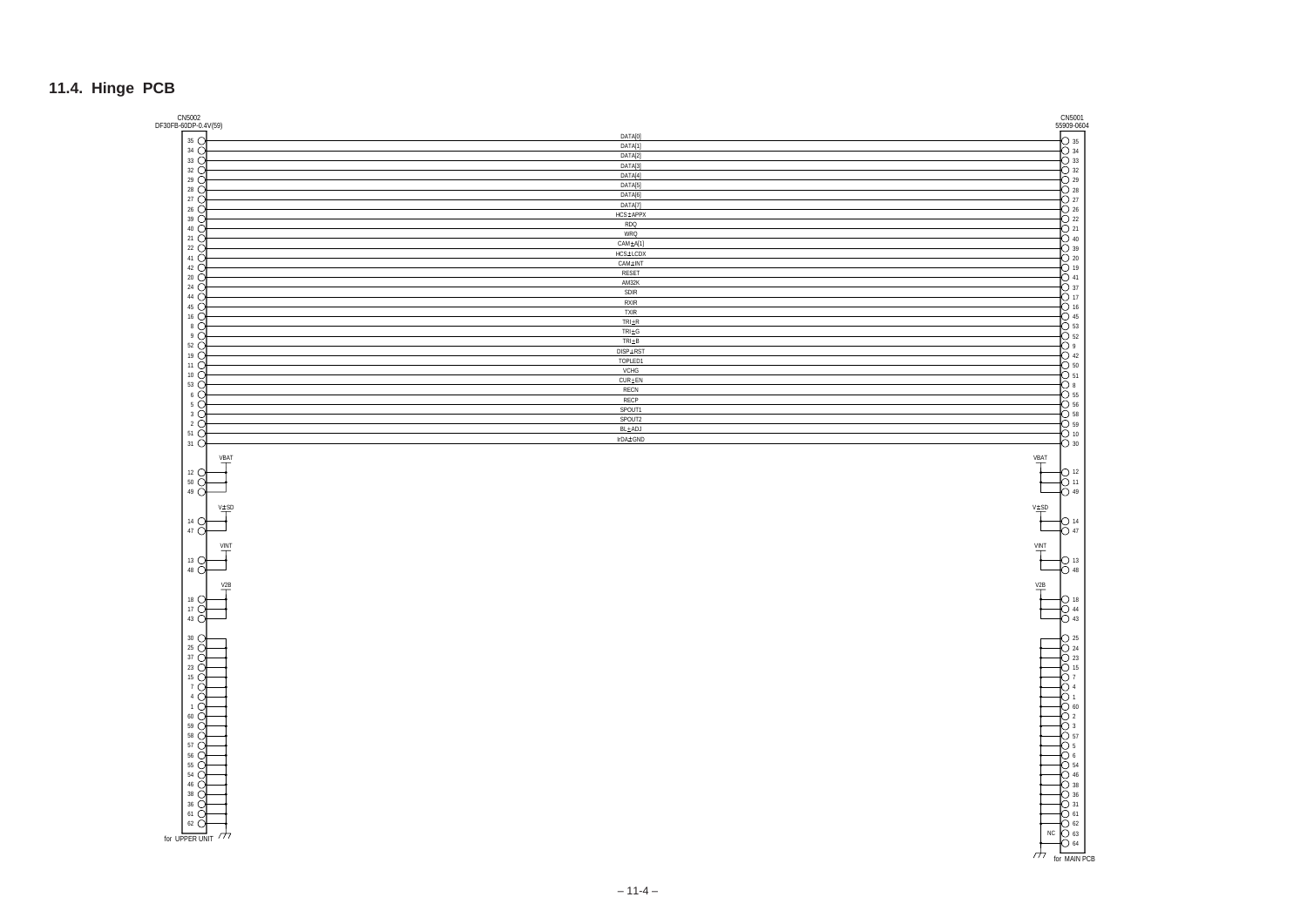### **11.4. Hinge PCB**

for UPPER UNIT



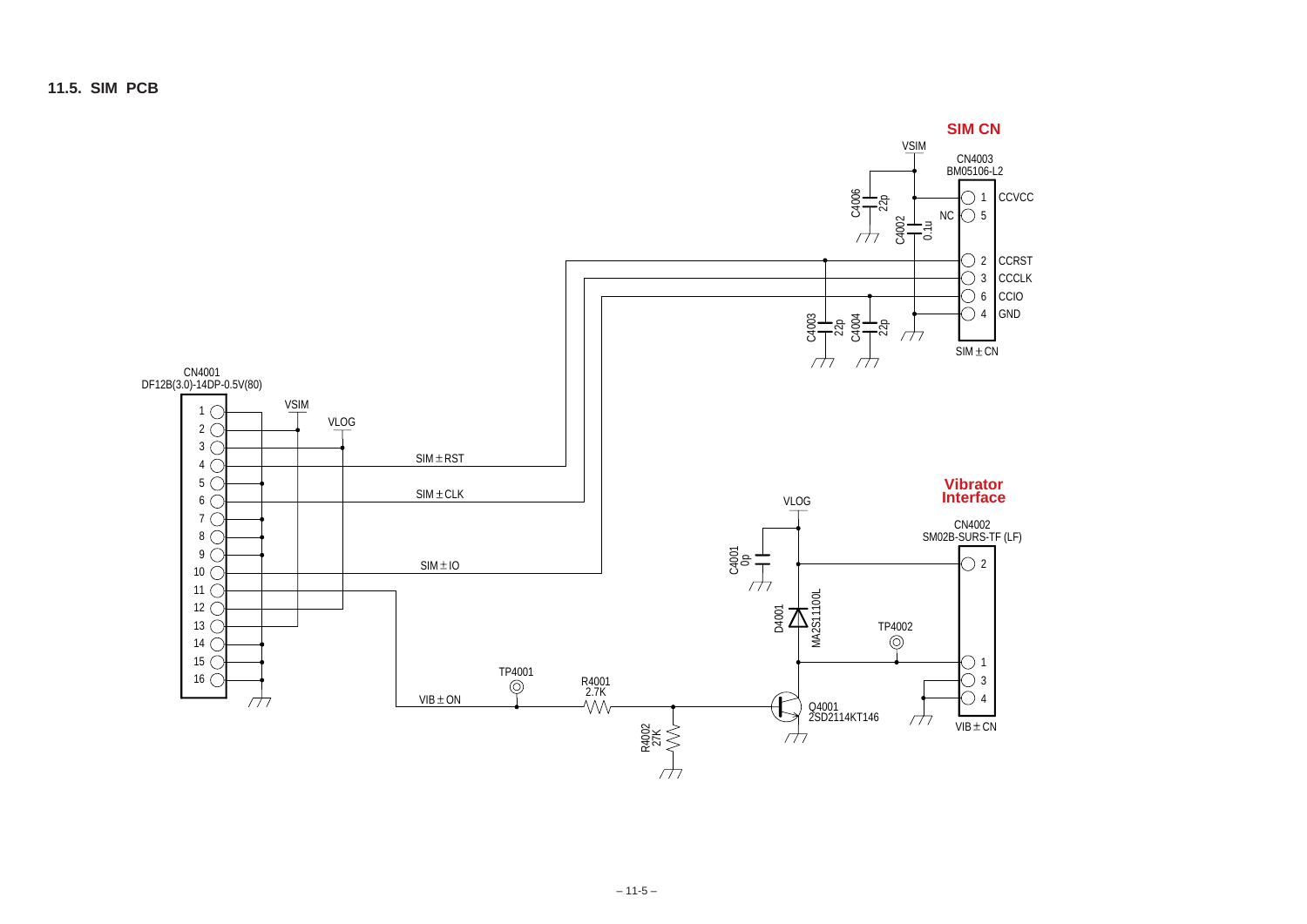**11.5. SIM PCB**

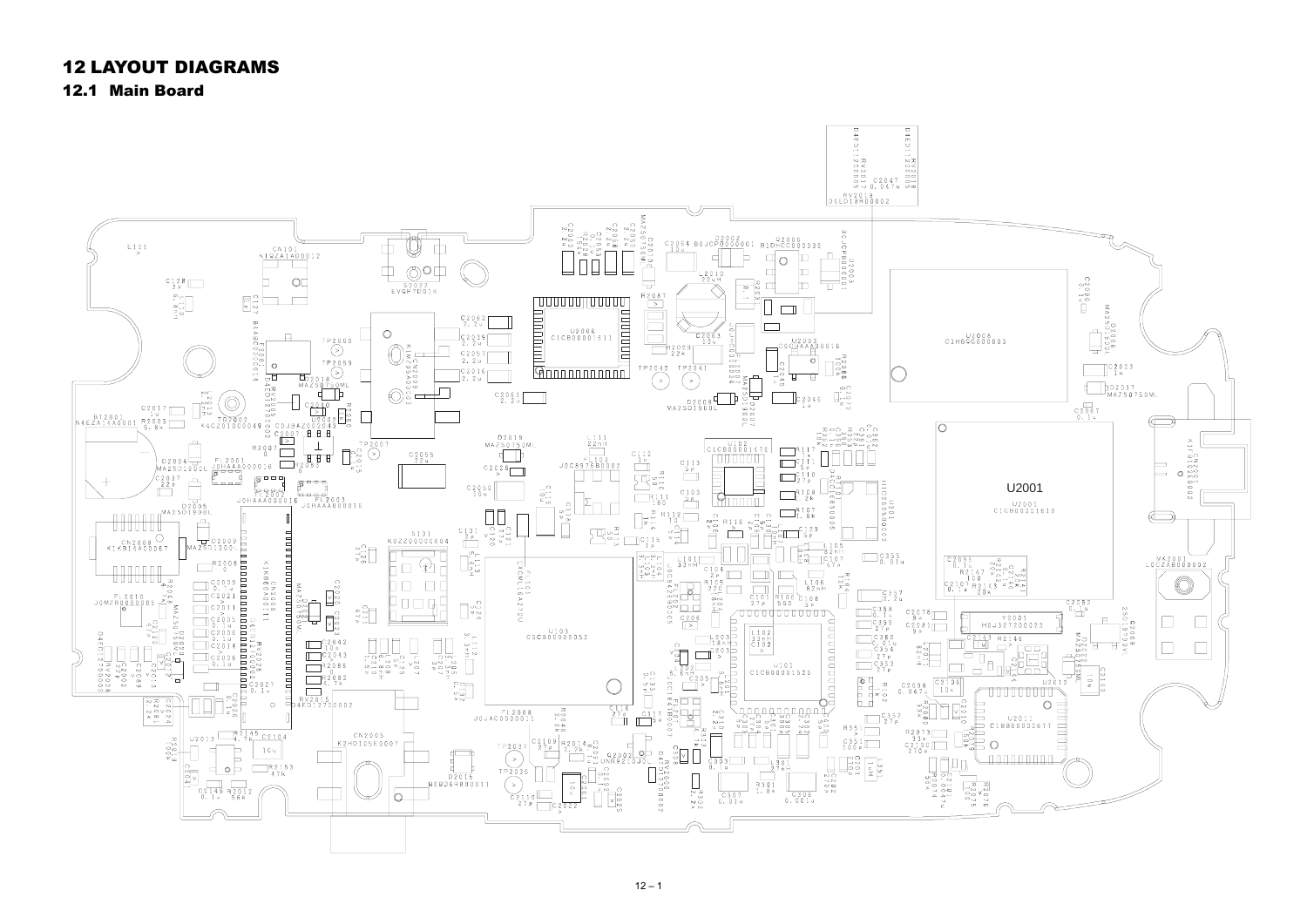### **12 LAYOUT DIAGRAMS**

12.1 Main Board

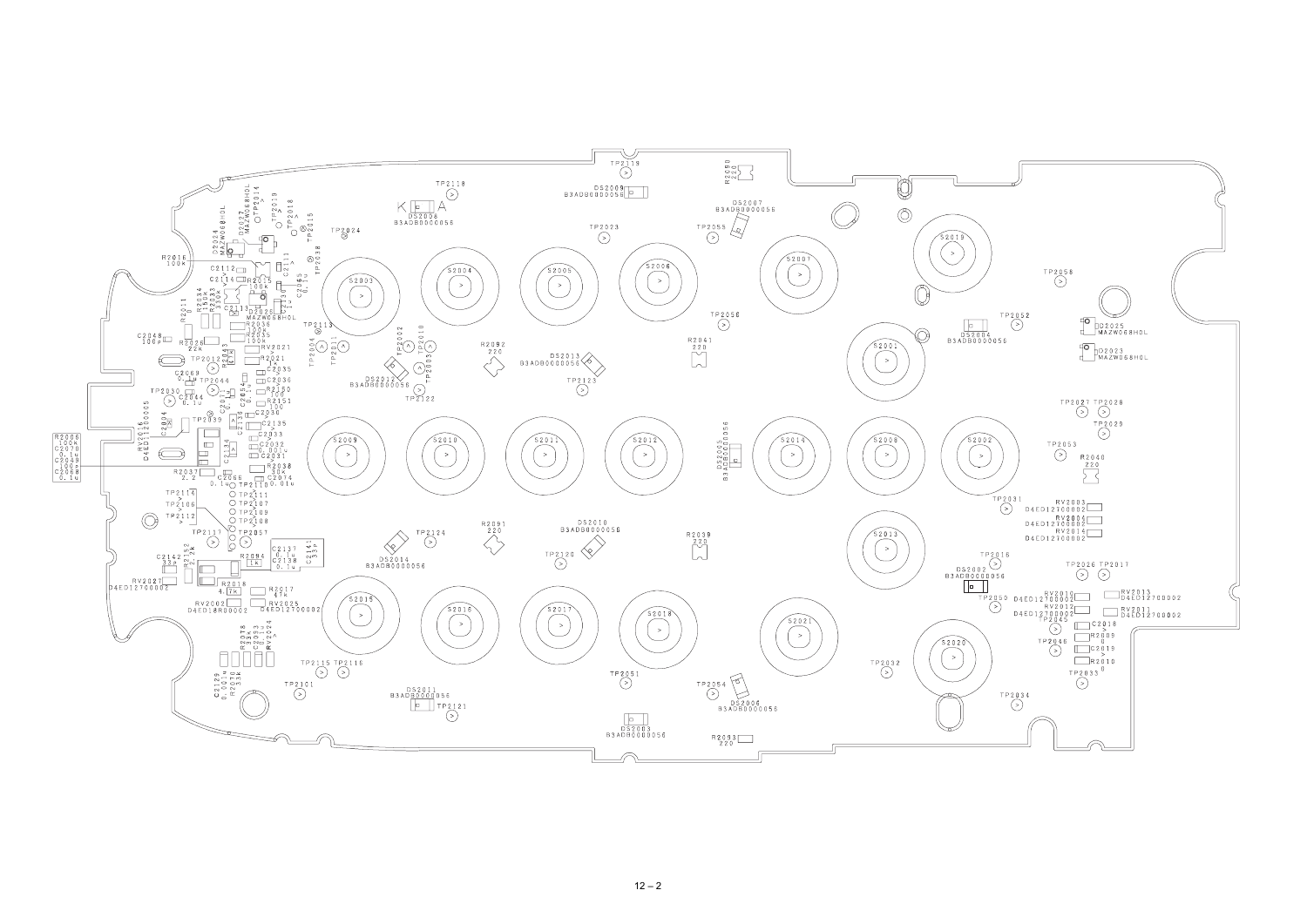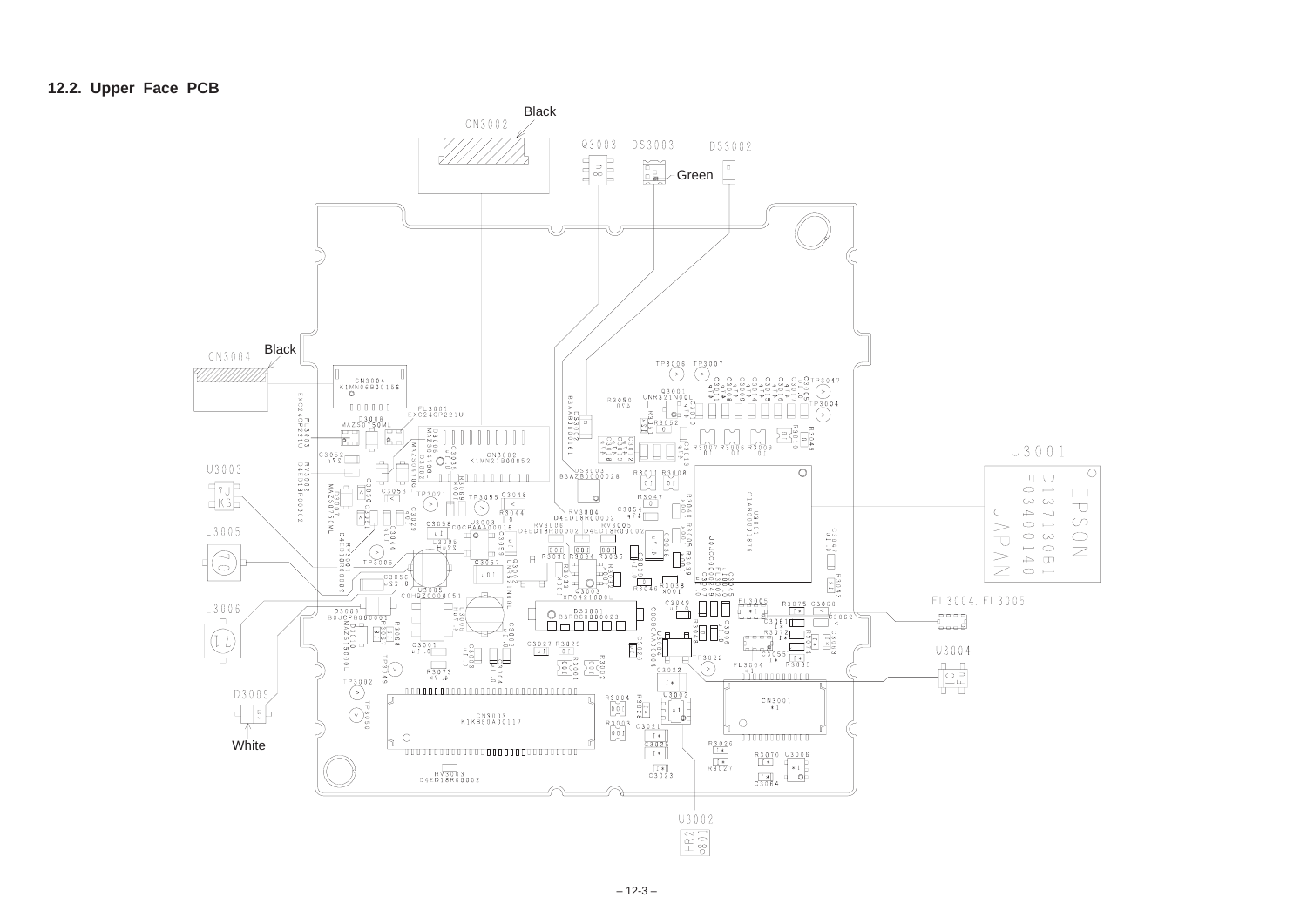| ㄱ ♡<br>⌒<br>د<br>ده ده<br>ιΙ<br>$\subset$ .<br>$\sim$<br>←<br>( / )<br>◯<br>$\overline{\phantom{a}}$<br>⊳<br>⊙ ω<br>- 3<br>◯<br>w<br>⌒<br>$\overline{\phantom{0}}$ | UJUUI |  |  |  |  |  |  |
|--------------------------------------------------------------------------------------------------------------------------------------------------------------------|-------|--|--|--|--|--|--|
|                                                                                                                                                                    |       |  |  |  |  |  |  |
|                                                                                                                                                                    |       |  |  |  |  |  |  |
|                                                                                                                                                                    |       |  |  |  |  |  |  |
|                                                                                                                                                                    |       |  |  |  |  |  |  |
|                                                                                                                                                                    |       |  |  |  |  |  |  |
|                                                                                                                                                                    |       |  |  |  |  |  |  |
|                                                                                                                                                                    |       |  |  |  |  |  |  |
|                                                                                                                                                                    |       |  |  |  |  |  |  |
|                                                                                                                                                                    |       |  |  |  |  |  |  |

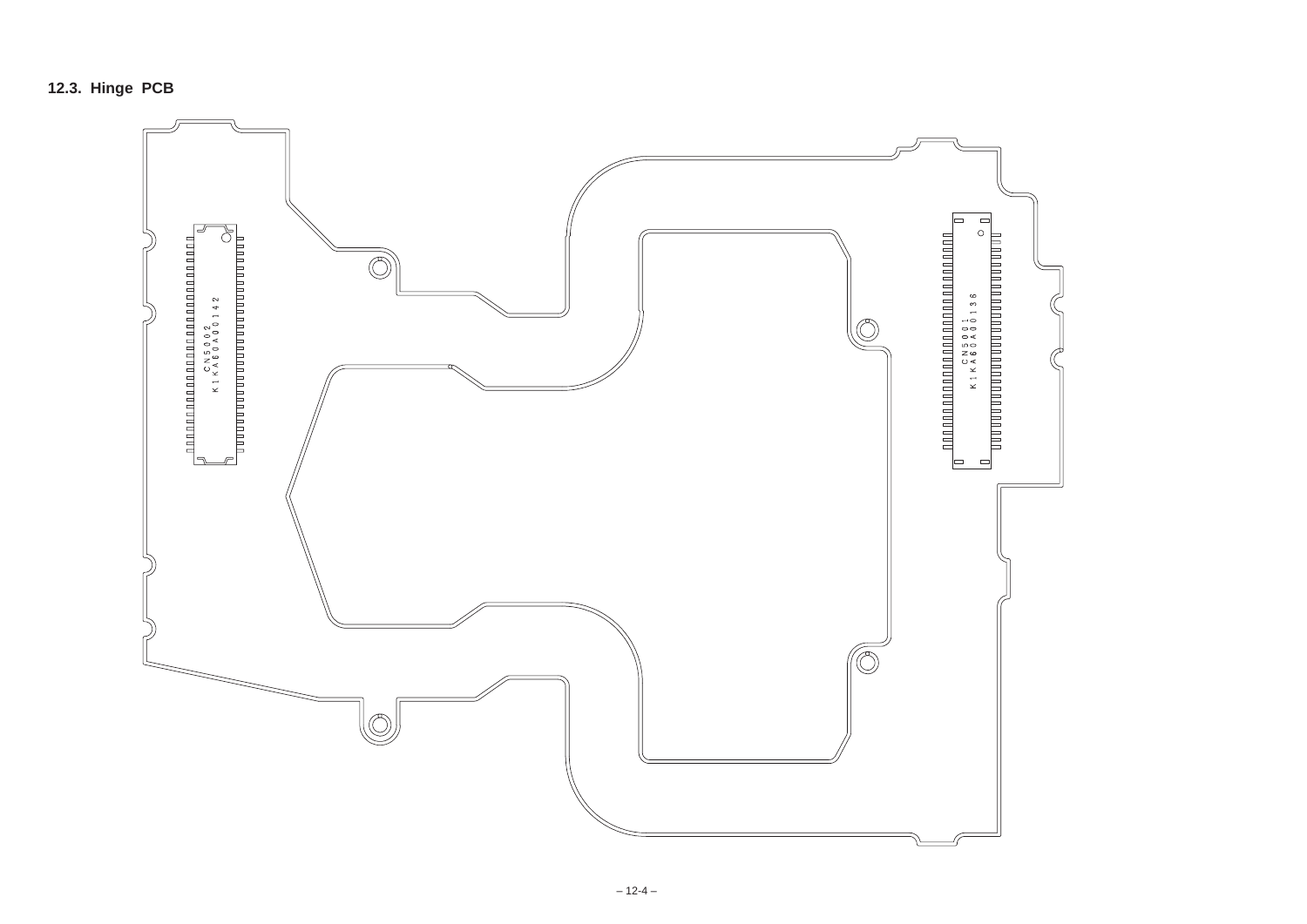